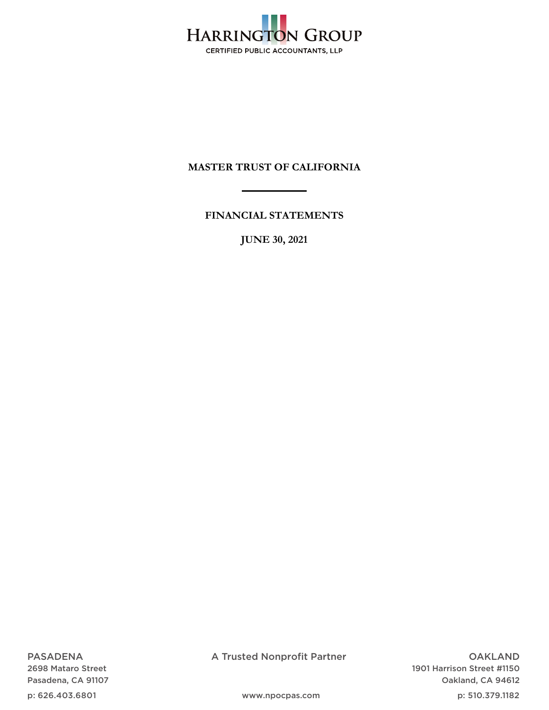

**FINANCIAL STATEMENTS** 

**JUNE 30, 2021** 

PASADENA 2698 Mataro Street Pasadena, CA 91107

p: 626.403.6801

A Trusted Nonprofit Partner

OAKLAND 1901 Harrison Street #1150 Oakland, CA 94612

www.npocpas.com

p: 510.379.1182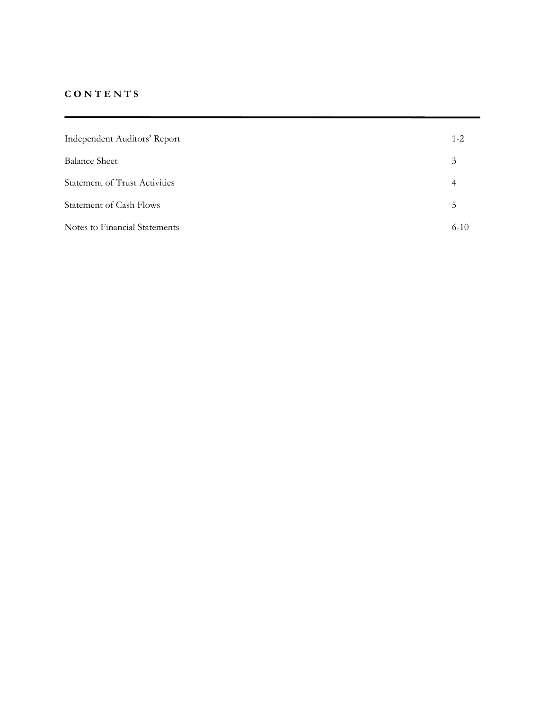# **C O N T E N T S**

| Independent Auditors' Report         | $1 - 2$       |
|--------------------------------------|---------------|
| <b>Balance Sheet</b>                 | 3             |
| <b>Statement of Trust Activities</b> | 4             |
| <b>Statement of Cash Flows</b>       | $\mathcal{D}$ |
| Notes to Financial Statements        | $6-10$        |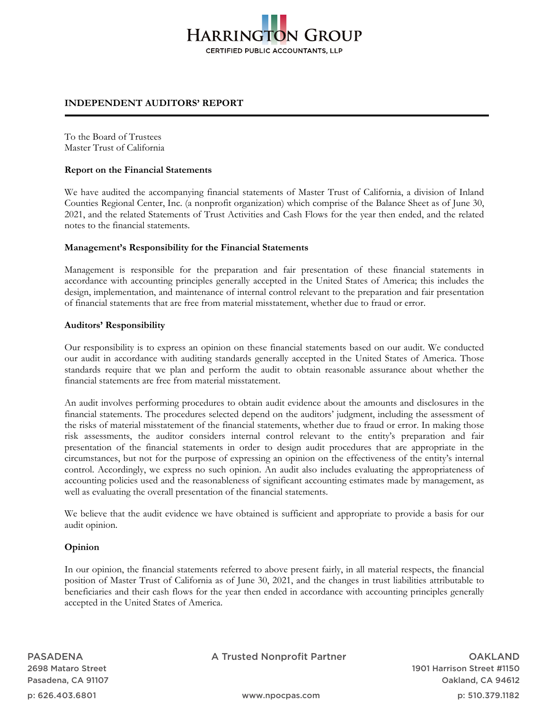# **HARRINGTON GROUP** CERTIFIED PUBLIC ACCOUNTANTS, LLP

## **INDEPENDENT AUDITORS' REPORT**

To the Board of Trustees Master Trust of California

#### **Report on the Financial Statements**

We have audited the accompanying financial statements of Master Trust of California, a division of Inland Counties Regional Center, Inc. (a nonprofit organization) which comprise of the Balance Sheet as of June 30, 2021, and the related Statements of Trust Activities and Cash Flows for the year then ended, and the related notes to the financial statements.

### **Management's Responsibility for the Financial Statements**

Management is responsible for the preparation and fair presentation of these financial statements in accordance with accounting principles generally accepted in the United States of America; this includes the design, implementation, and maintenance of internal control relevant to the preparation and fair presentation of financial statements that are free from material misstatement, whether due to fraud or error.

### **Auditors' Responsibility**

Our responsibility is to express an opinion on these financial statements based on our audit. We conducted our audit in accordance with auditing standards generally accepted in the United States of America. Those standards require that we plan and perform the audit to obtain reasonable assurance about whether the financial statements are free from material misstatement.

An audit involves performing procedures to obtain audit evidence about the amounts and disclosures in the financial statements. The procedures selected depend on the auditors' judgment, including the assessment of the risks of material misstatement of the financial statements, whether due to fraud or error. In making those risk assessments, the auditor considers internal control relevant to the entity's preparation and fair presentation of the financial statements in order to design audit procedures that are appropriate in the circumstances, but not for the purpose of expressing an opinion on the effectiveness of the entity's internal control. Accordingly, we express no such opinion. An audit also includes evaluating the appropriateness of accounting policies used and the reasonableness of significant accounting estimates made by management, as well as evaluating the overall presentation of the financial statements.

We believe that the audit evidence we have obtained is sufficient and appropriate to provide a basis for our audit opinion.

## **Opinion**

In our opinion, the financial statements referred to above present fairly, in all material respects, the financial position of Master Trust of California as of June 30, 2021, and the changes in trust liabilities attributable to beneficiaries and their cash flows for the year then ended in accordance with accounting principles generally accepted in the United States of America.

A Trusted Nonprofit Partner

OAKLAND 1901 Harrison Street #1150 Oakland, CA 94612

p: 510.379.1182

p: 626.403.6801

www.npocpas.com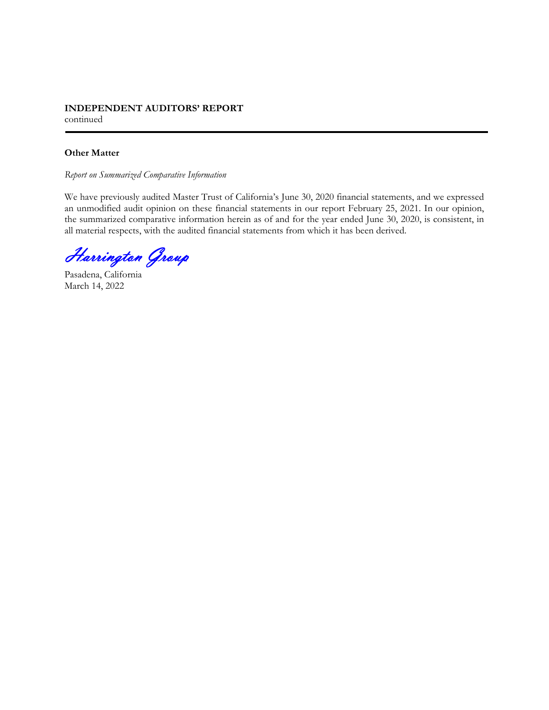## **INDEPENDENT AUDITORS' REPORT**  continued

## **Other Matter**

*Report on Summarized Comparative Information* 

We have previously audited Master Trust of California's June 30, 2020 financial statements, and we expressed an unmodified audit opinion on these financial statements in our report February 25, 2021. In our opinion, the summarized comparative information herein as of and for the year ended June 30, 2020, is consistent, in all material respects, with the audited financial statements from which it has been derived.

Harrington Group

Pasadena, California March 14, 2022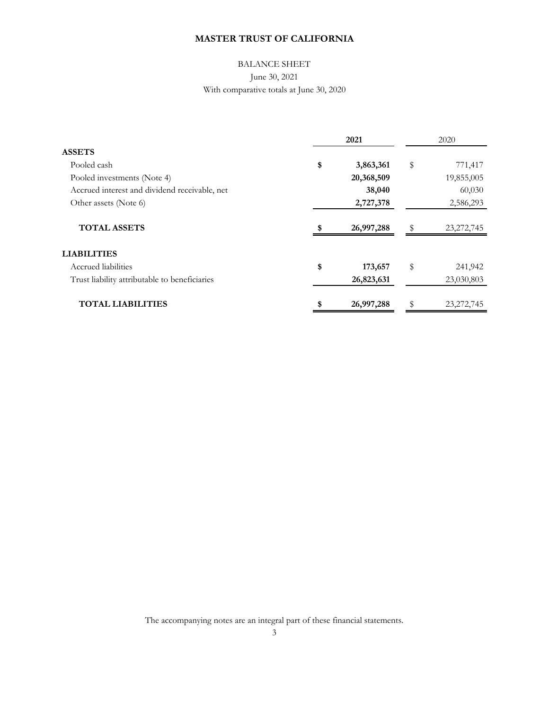# BALANCE SHEET June 30, 2021 With comparative totals at June 30, 2020

|                                               | 2021 |            | 2020 |              |
|-----------------------------------------------|------|------------|------|--------------|
| <b>ASSETS</b>                                 |      |            |      |              |
| Pooled cash                                   | \$   | 3,863,361  | \$   | 771,417      |
| Pooled investments (Note 4)                   |      | 20,368,509 |      | 19,855,005   |
| Accrued interest and dividend receivable, net |      | 38,040     |      | 60,030       |
| Other assets (Note 6)                         |      | 2,727,378  |      | 2,586,293    |
| <b>TOTAL ASSETS</b>                           |      | 26,997,288 | \$   | 23, 272, 745 |
| <b>LIABILITIES</b>                            |      |            |      |              |
| Accrued liabilities                           | \$   | 173,657    | \$   | 241,942      |
| Trust liability attributable to beneficiaries |      | 26,823,631 |      | 23,030,803   |
| <b>TOTAL LIABILITIES</b>                      |      | 26,997,288 |      | 23, 272, 745 |

The accompanying notes are an integral part of these financial statements.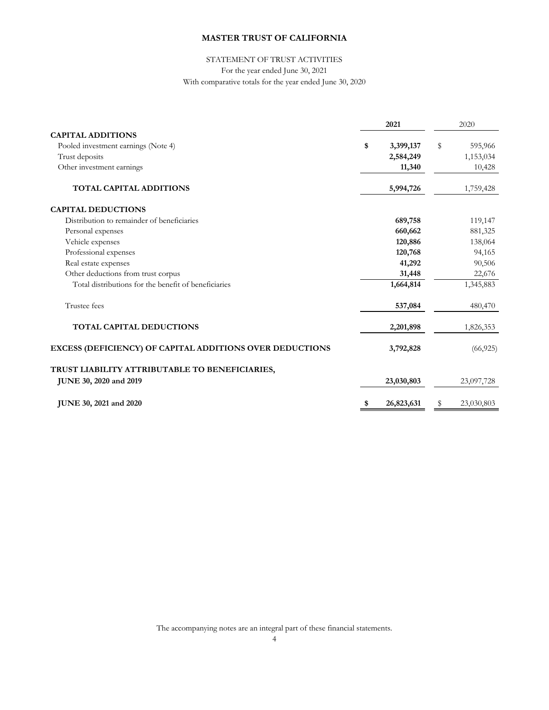## STATEMENT OF TRUST ACTIVITIES For the year ended June 30, 2021 With comparative totals for the year ended June 30, 2020

|                                                          | 2021             | 2020             |
|----------------------------------------------------------|------------------|------------------|
| <b>CAPITAL ADDITIONS</b>                                 |                  |                  |
| Pooled investment earnings (Note 4)                      | \$<br>3,399,137  | \$<br>595,966    |
| Trust deposits                                           | 2,584,249        | 1,153,034        |
| Other investment earnings                                | 11,340           | 10,428           |
| <b>TOTAL CAPITAL ADDITIONS</b>                           | 5,994,726        | 1,759,428        |
| <b>CAPITAL DEDUCTIONS</b>                                |                  |                  |
| Distribution to remainder of beneficiaries               | 689,758          | 119,147          |
| Personal expenses                                        | 660,662          | 881,325          |
| Vehicle expenses                                         | 120,886          | 138,064          |
| Professional expenses                                    | 120,768          | 94,165           |
| Real estate expenses                                     | 41,292           | 90,506           |
| Other deductions from trust corpus                       | 31,448           | 22,676           |
| Total distributions for the benefit of beneficiaries     | 1,664,814        | 1,345,883        |
| Trustee fees                                             | 537,084          | 480,470          |
| <b>TOTAL CAPITAL DEDUCTIONS</b>                          | 2,201,898        | 1,826,353        |
| EXCESS (DEFICIENCY) OF CAPITAL ADDITIONS OVER DEDUCTIONS | 3,792,828        | (66, 925)        |
| TRUST LIABILITY ATTRIBUTABLE TO BENEFICIARIES,           |                  |                  |
| JUNE 30, 2020 and 2019                                   | 23,030,803       | 23,097,728       |
| JUNE 30, 2021 and 2020                                   | \$<br>26,823,631 | \$<br>23,030,803 |

The accompanying notes are an integral part of these financial statements.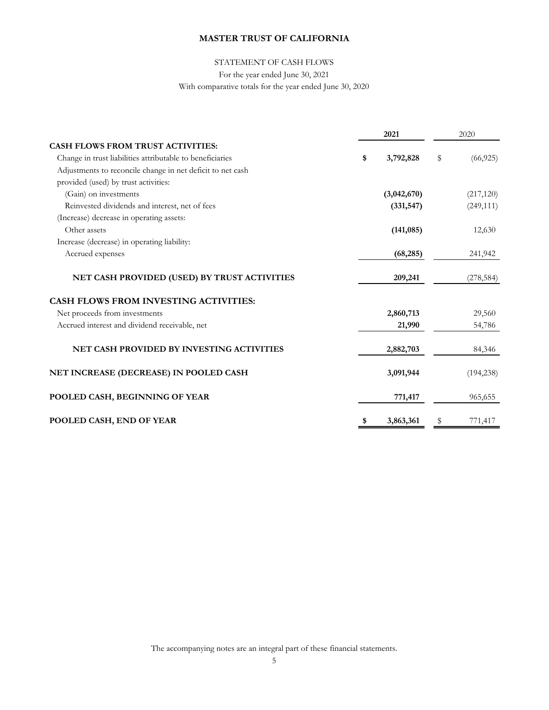## STATEMENT OF CASH FLOWS

For the year ended June 30, 2021

With comparative totals for the year ended June 30, 2020

|                                                            | 2021<br>2020 |             |    |            |
|------------------------------------------------------------|--------------|-------------|----|------------|
| <b>CASH FLOWS FROM TRUST ACTIVITIES:</b>                   |              |             |    |            |
| Change in trust liabilities attributable to beneficiaries  | \$           | 3,792,828   | \$ | (66, 925)  |
| Adjustments to reconcile change in net deficit to net cash |              |             |    |            |
| provided (used) by trust activities:                       |              |             |    |            |
| (Gain) on investments                                      |              | (3,042,670) |    | (217, 120) |
| Reinvested dividends and interest, net of fees             |              | (331, 547)  |    | (249, 111) |
| (Increase) decrease in operating assets:                   |              |             |    |            |
| Other assets                                               |              | (141, 085)  |    | 12,630     |
| Increase (decrease) in operating liability:                |              |             |    |            |
| Accrued expenses                                           |              | (68, 285)   |    | 241,942    |
| NET CASH PROVIDED (USED) BY TRUST ACTIVITIES               |              | 209,241     |    | (278, 584) |
| <b>CASH FLOWS FROM INVESTING ACTIVITIES:</b>               |              |             |    |            |
| Net proceeds from investments                              |              | 2,860,713   |    | 29,560     |
| Accrued interest and dividend receivable, net              |              | 21,990      |    | 54,786     |
| <b>NET CASH PROVIDED BY INVESTING ACTIVITIES</b>           |              | 2,882,703   |    | 84,346     |
| NET INCREASE (DECREASE) IN POOLED CASH                     |              | 3,091,944   |    | (194, 238) |
| POOLED CASH, BEGINNING OF YEAR                             |              | 771,417     |    | 965,655    |
| POOLED CASH, END OF YEAR                                   | \$           | 3,863,361   | S  | 771,417    |

The accompanying notes are an integral part of these financial statements.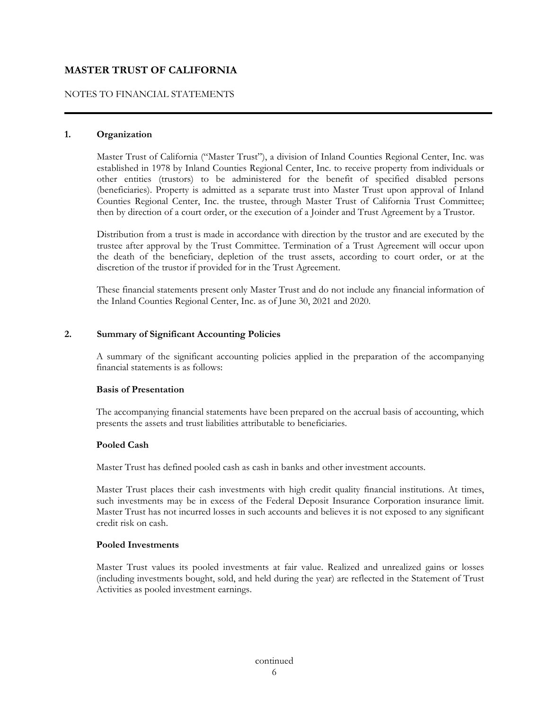## NOTES TO FINANCIAL STATEMENTS

#### **1. Organization**

 Master Trust of California ("Master Trust"), a division of Inland Counties Regional Center, Inc. was established in 1978 by Inland Counties Regional Center, Inc. to receive property from individuals or other entities (trustors) to be administered for the benefit of specified disabled persons (beneficiaries). Property is admitted as a separate trust into Master Trust upon approval of Inland Counties Regional Center, Inc. the trustee, through Master Trust of California Trust Committee; then by direction of a court order, or the execution of a Joinder and Trust Agreement by a Trustor.

 Distribution from a trust is made in accordance with direction by the trustor and are executed by the trustee after approval by the Trust Committee. Termination of a Trust Agreement will occur upon the death of the beneficiary, depletion of the trust assets, according to court order, or at the discretion of the trustor if provided for in the Trust Agreement.

 These financial statements present only Master Trust and do not include any financial information of the Inland Counties Regional Center, Inc. as of June 30, 2021 and 2020.

#### **2. Summary of Significant Accounting Policies**

 A summary of the significant accounting policies applied in the preparation of the accompanying financial statements is as follows:

## **Basis of Presentation**

 The accompanying financial statements have been prepared on the accrual basis of accounting, which presents the assets and trust liabilities attributable to beneficiaries.

#### **Pooled Cash**

Master Trust has defined pooled cash as cash in banks and other investment accounts.

 Master Trust places their cash investments with high credit quality financial institutions. At times, such investments may be in excess of the Federal Deposit Insurance Corporation insurance limit. Master Trust has not incurred losses in such accounts and believes it is not exposed to any significant credit risk on cash.

#### **Pooled Investments**

 Master Trust values its pooled investments at fair value. Realized and unrealized gains or losses (including investments bought, sold, and held during the year) are reflected in the Statement of Trust Activities as pooled investment earnings.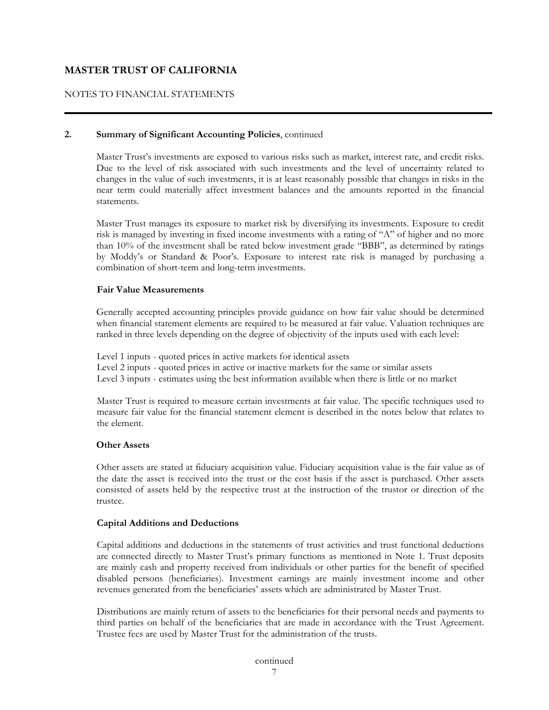## NOTES TO FINANCIAL STATEMENTS

#### **2. Summary of Significant Accounting Policies**, continued

 Master Trust's investments are exposed to various risks such as market, interest rate, and credit risks. Due to the level of risk associated with such investments and the level of uncertainty related to changes in the value of such investments, it is at least reasonably possible that changes in risks in the near term could materially affect investment balances and the amounts reported in the financial statements.

 Master Trust manages its exposure to market risk by diversifying its investments. Exposure to credit risk is managed by investing in fixed income investments with a rating of "A" of higher and no more than 10% of the investment shall be rated below investment grade "BBB", as determined by ratings by Moddy's or Standard & Poor's. Exposure to interest rate risk is managed by purchasing a combination of short-term and long-term investments.

#### **Fair Value Measurements**

 Generally accepted accounting principles provide guidance on how fair value should be determined when financial statement elements are required to be measured at fair value. Valuation techniques are ranked in three levels depending on the degree of objectivity of the inputs used with each level:

Level 1 inputs - quoted prices in active markets for identical assets Level 2 inputs - quoted prices in active or inactive markets for the same or similar assets Level 3 inputs - estimates using the best information available when there is little or no market

Master Trust is required to measure certain investments at fair value. The specific techniques used to measure fair value for the financial statement element is described in the notes below that relates to the element.

#### **Other Assets**

Other assets are stated at fiduciary acquisition value. Fiduciary acquisition value is the fair value as of the date the asset is received into the trust or the cost basis if the asset is purchased. Other assets consisted of assets held by the respective trust at the instruction of the trustor or direction of the trustee.

#### **Capital Additions and Deductions**

Capital additions and deductions in the statements of trust activities and trust functional deductions are connected directly to Master Trust's primary functions as mentioned in Note 1. Trust deposits are mainly cash and property received from individuals or other parties for the benefit of specified disabled persons (beneficiaries). Investment earnings are mainly investment income and other revenues generated from the beneficiaries' assets which are administrated by Master Trust.

 Distributions are mainly return of assets to the beneficiaries for their personal needs and payments to third parties on behalf of the beneficiaries that are made in accordance with the Trust Agreement. Trustee fees are used by Master Trust for the administration of the trusts.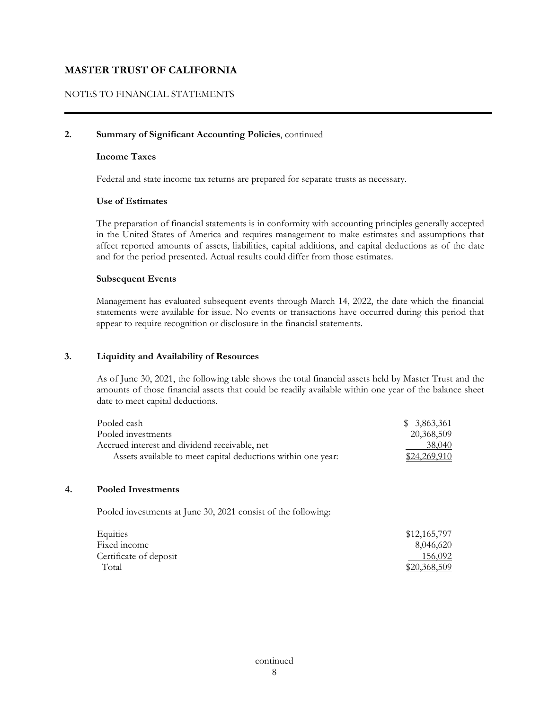## NOTES TO FINANCIAL STATEMENTS

#### **2. Summary of Significant Accounting Policies**, continued

#### **Income Taxes**

Federal and state income tax returns are prepared for separate trusts as necessary.

#### **Use of Estimates**

 The preparation of financial statements is in conformity with accounting principles generally accepted in the United States of America and requires management to make estimates and assumptions that affect reported amounts of assets, liabilities, capital additions, and capital deductions as of the date and for the period presented. Actual results could differ from those estimates.

#### **Subsequent Events**

 Management has evaluated subsequent events through March 14, 2022, the date which the financial statements were available for issue. No events or transactions have occurred during this period that appear to require recognition or disclosure in the financial statements.

#### **3. Liquidity and Availability of Resources**

As of June 30, 2021, the following table shows the total financial assets held by Master Trust and the amounts of those financial assets that could be readily available within one year of the balance sheet date to meet capital deductions.

| Pooled cash-                                                 | \$ 3,863,361  |
|--------------------------------------------------------------|---------------|
| Pooled investments                                           | 20,368,509    |
| Accrued interest and dividend receivable, net                | <u>38,040</u> |
| Assets available to meet capital deductions within one year. | \$24,269,910  |

#### **4. Pooled Investments**

Pooled investments at June 30, 2021 consist of the following:

| Equities               | \$12,165,797 |
|------------------------|--------------|
| Fixed income           | 8,046,620    |
| Certificate of deposit | 156,092      |
| Total                  | \$20,368,509 |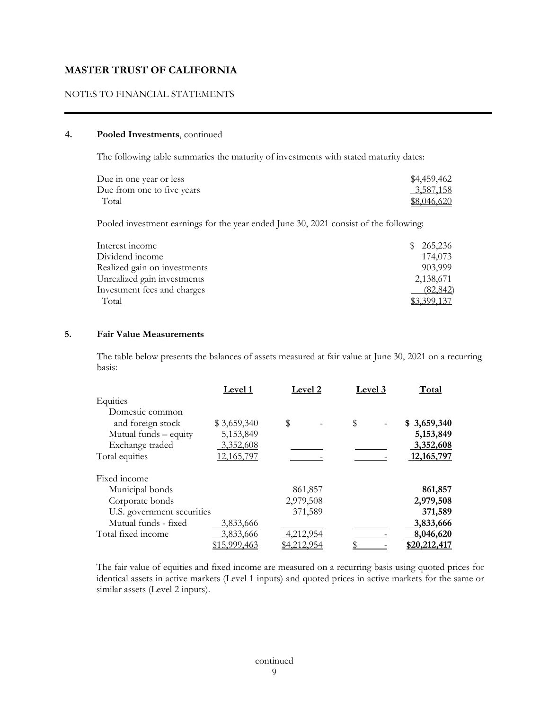## NOTES TO FINANCIAL STATEMENTS

#### **4. Pooled Investments**, continued

The following table summaries the maturity of investments with stated maturity dates:

| Due in one year or less    | \$4,459,462 |
|----------------------------|-------------|
| Due from one to five years | 3,587,158   |
| Total                      | \$8,046,620 |

Pooled investment earnings for the year ended June 30, 2021 consist of the following:

| Interest income              | 265,236   |
|------------------------------|-----------|
| Dividend income              | 174,073   |
| Realized gain on investments | 903,999   |
| Unrealized gain investments  | 2,138,671 |
| Investment fees and charges  | (82, 842) |
| Total                        |           |

#### **5. Fair Value Measurements**

The table below presents the balances of assets measured at fair value at June 30, 2021 on a recurring basis:

|                            | Level 1      | Level 2            | Level 3 | Total        |
|----------------------------|--------------|--------------------|---------|--------------|
| Equities                   |              |                    |         |              |
| Domestic common            |              |                    |         |              |
| and foreign stock          | \$3,659,340  | \$                 | \$      | \$3,659,340  |
| Mutual funds - equity      | 5,153,849    |                    |         | 5,153,849    |
| Exchange traded            | 3,352,608    |                    |         | 3,352,608    |
| Total equities             | 12,165,797   |                    |         | 12, 165, 797 |
| Fixed income               |              |                    |         |              |
| Municipal bonds            |              | 861,857            |         | 861,857      |
| Corporate bonds            |              | 2,979,508          |         | 2,979,508    |
| U.S. government securities |              | 371,589            |         | 371,589      |
| Mutual funds - fixed       | 3,833,666    |                    |         | 3,833,666    |
| Total fixed income         | 3,833,666    | 4,212,954          |         | 8,046,620    |
|                            | \$15,999,463 | <u>\$4,212,954</u> |         | \$20,212,417 |

 The fair value of equities and fixed income are measured on a recurring basis using quoted prices for identical assets in active markets (Level 1 inputs) and quoted prices in active markets for the same or similar assets (Level 2 inputs).